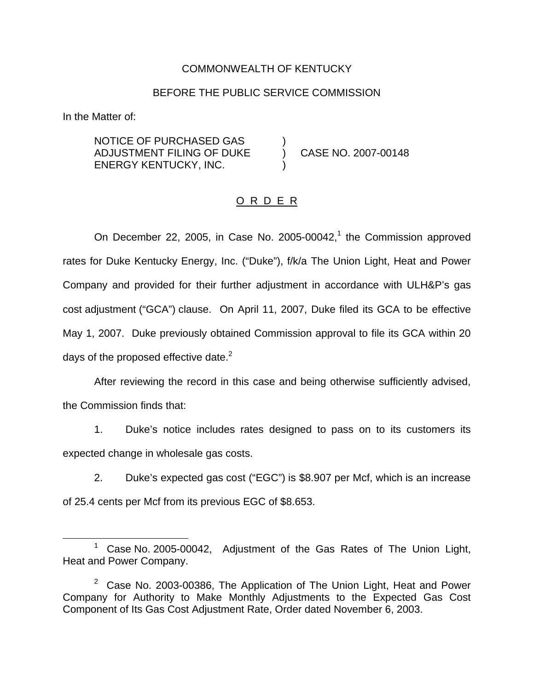### COMMONWEALTH OF KENTUCKY

#### BEFORE THE PUBLIC SERVICE COMMISSION

In the Matter of:

NOTICE OF PURCHASED GAS ) ADJUSTMENT FILING OF DUKE ) CASE NO. 2007-00148 ENERGY KENTUCKY, INC. )

### O R D E R

On December 22, 2005, in Case No. 2005-00042, $<sup>1</sup>$  the Commission approved</sup> rates for Duke Kentucky Energy, Inc. ("Duke"), f/k/a The Union Light, Heat and Power Company and provided for their further adjustment in accordance with ULH&P's gas cost adjustment ("GCA") clause. On April 11, 2007, Duke filed its GCA to be effective May 1, 2007. Duke previously obtained Commission approval to file its GCA within 20 days of the proposed effective date. $2^2$ 

After reviewing the record in this case and being otherwise sufficiently advised, the Commission finds that:

1. Duke's notice includes rates designed to pass on to its customers its expected change in wholesale gas costs.

2. Duke's expected gas cost ("EGC") is \$8.907 per Mcf, which is an increase of 25.4 cents per Mcf from its previous EGC of \$8.653.

<sup>&</sup>lt;sup>1</sup> Case No. 2005-00042, Adjustment of the Gas Rates of The Union Light, Heat and Power Company.

 $2$  Case No. 2003-00386, The Application of The Union Light, Heat and Power Company for Authority to Make Monthly Adjustments to the Expected Gas Cost Component of Its Gas Cost Adjustment Rate, Order dated November 6, 2003.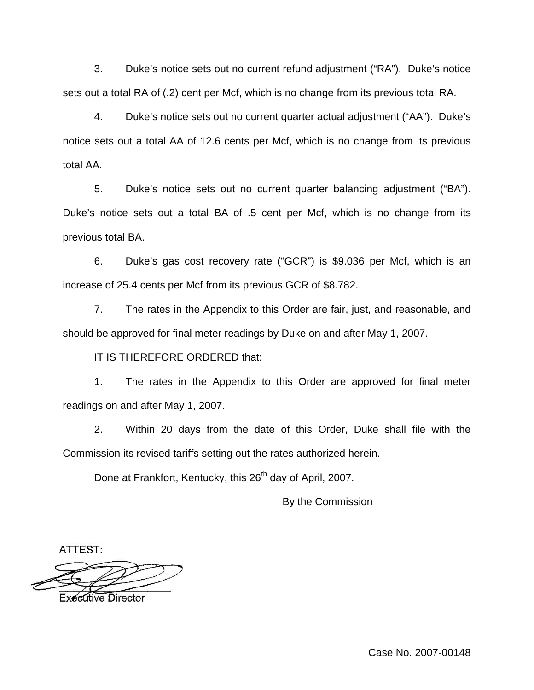3. Duke's notice sets out no current refund adjustment ("RA"). Duke's notice sets out a total RA of (.2) cent per Mcf, which is no change from its previous total RA.

4. Duke's notice sets out no current quarter actual adjustment ("AA"). Duke's notice sets out a total AA of 12.6 cents per Mcf, which is no change from its previous total AA.

5. Duke's notice sets out no current quarter balancing adjustment ("BA"). Duke's notice sets out a total BA of .5 cent per Mcf, which is no change from its previous total BA.

6. Duke's gas cost recovery rate ("GCR") is \$9.036 per Mcf, which is an increase of 25.4 cents per Mcf from its previous GCR of \$8.782.

7. The rates in the Appendix to this Order are fair, just, and reasonable, and should be approved for final meter readings by Duke on and after May 1, 2007.

IT IS THEREFORE ORDERED that:

1. The rates in the Appendix to this Order are approved for final meter readings on and after May 1, 2007.

2. Within 20 days from the date of this Order, Duke shall file with the Commission its revised tariffs setting out the rates authorized herein.

Done at Frankfort, Kentucky, this 26<sup>th</sup> day of April, 2007.

By the Commission

ATTEST:

**Executive Director** 

Case No. 2007-00148